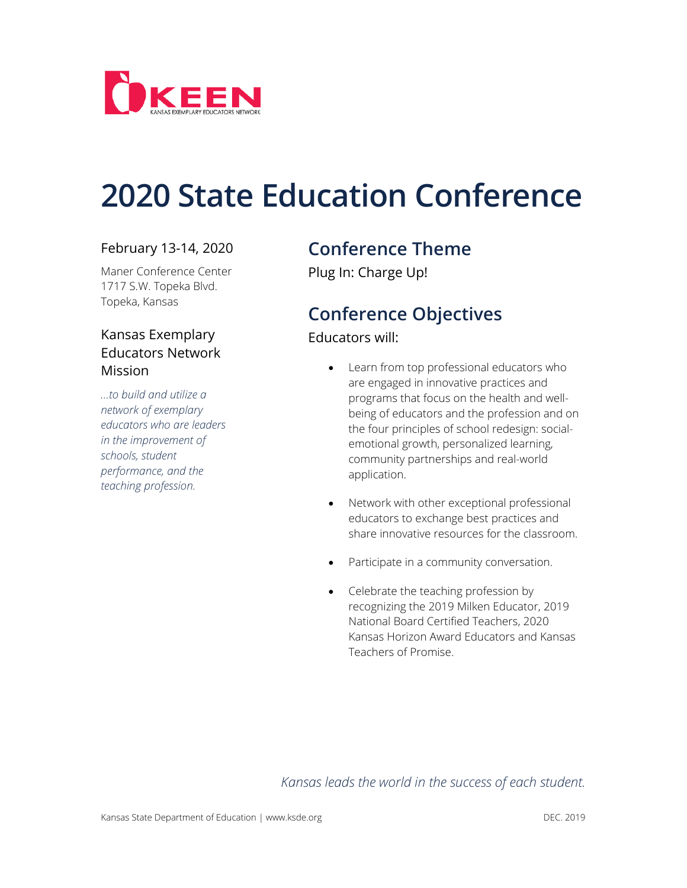

# **2020 State Education Conference**

#### February 13-14, 2020

Maner Conference Center 1717 S.W. Topeka Blvd. Topeka, Kansas

#### Kansas Exemplary Educators Network Mission

*…to build and utilize a network of exemplary educators who are leaders in the improvement of schools, student performance, and the teaching profession.*

### **Conference Theme**

Plug In: Charge Up!

## **Conference Objectives**

#### Educators will:

- Learn from top professional educators who are engaged in innovative practices and programs that focus on the health and wellbeing of educators and the profession and on the four principles of school redesign: socialemotional growth, personalized learning, community partnerships and real-world application.
- Network with other exceptional professional educators to exchange best practices and share innovative resources for the classroom.
- Participate in a community conversation.
- Celebrate the teaching profession by recognizing the 2019 Milken Educator, 2019 National Board Certified Teachers, 2020 Kansas Horizon Award Educators and Kansas Teachers of Promise.

*Kansas leads the world in the success of each student.*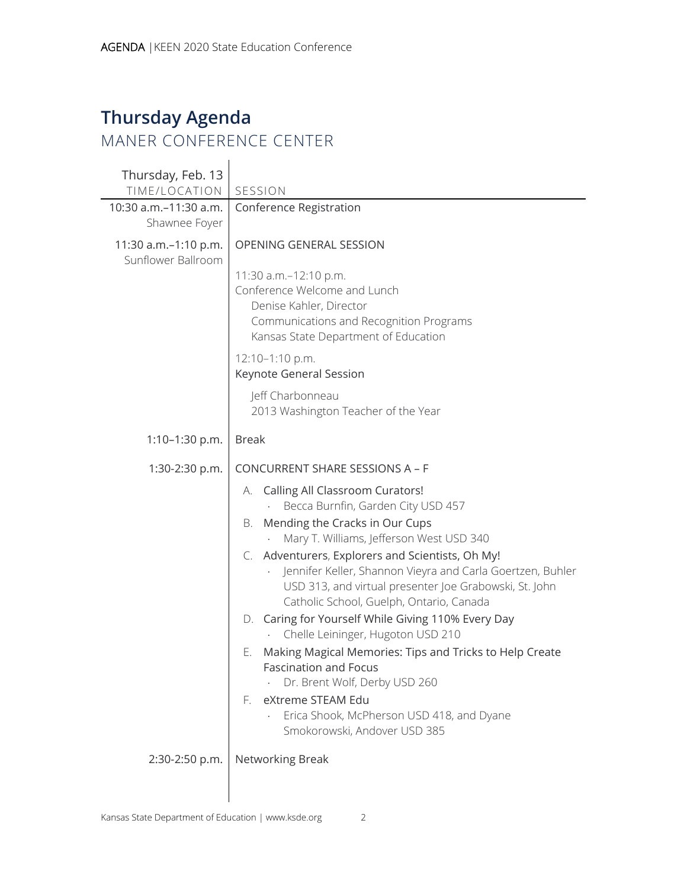## **Thursday Agenda** MANER CONFERENCE CENTER

 $\mathbf{I}$ 

| Thursday, Feb. 13<br>TIME/LOCATION         | SESSION                                                                                                                                                                                                              |
|--------------------------------------------|----------------------------------------------------------------------------------------------------------------------------------------------------------------------------------------------------------------------|
| 10:30 a.m.-11:30 a.m.<br>Shawnee Foyer     | Conference Registration                                                                                                                                                                                              |
| 11:30 a.m.-1:10 p.m.<br>Sunflower Ballroom | OPENING GENERAL SESSION                                                                                                                                                                                              |
|                                            | 11:30 a.m.-12:10 p.m.<br>Conference Welcome and Lunch<br>Denise Kahler, Director<br>Communications and Recognition Programs<br>Kansas State Department of Education                                                  |
|                                            | 12:10-1:10 p.m.<br>Keynote General Session                                                                                                                                                                           |
|                                            | Jeff Charbonneau<br>2013 Washington Teacher of the Year                                                                                                                                                              |
| $1:10-1:30 p.m.$                           | <b>Break</b>                                                                                                                                                                                                         |
| 1:30-2:30 p.m.                             | CONCURRENT SHARE SESSIONS A - F                                                                                                                                                                                      |
|                                            | A. Calling All Classroom Curators!<br>Becca Burnfin, Garden City USD 457                                                                                                                                             |
|                                            | Mending the Cracks in Our Cups<br>В.<br>Mary T. Williams, Jefferson West USD 340                                                                                                                                     |
|                                            | C. Adventurers, Explorers and Scientists, Oh My!<br>Jennifer Keller, Shannon Vieyra and Carla Goertzen, Buhler<br>USD 313, and virtual presenter Joe Grabowski, St. John<br>Catholic School, Guelph, Ontario, Canada |
|                                            | D. Caring for Yourself While Giving 110% Every Day<br>Chelle Leininger, Hugoton USD 210                                                                                                                              |
|                                            | Making Magical Memories: Tips and Tricks to Help Create<br>Е.<br><b>Fascination and Focus</b><br>Dr. Brent Wolf, Derby USD 260                                                                                       |
|                                            | eXtreme STEAM Edu<br>E.<br>Erica Shook, McPherson USD 418, and Dyane<br>Smokorowski, Andover USD 385                                                                                                                 |
| 2:30-2:50 p.m.                             | Networking Break                                                                                                                                                                                                     |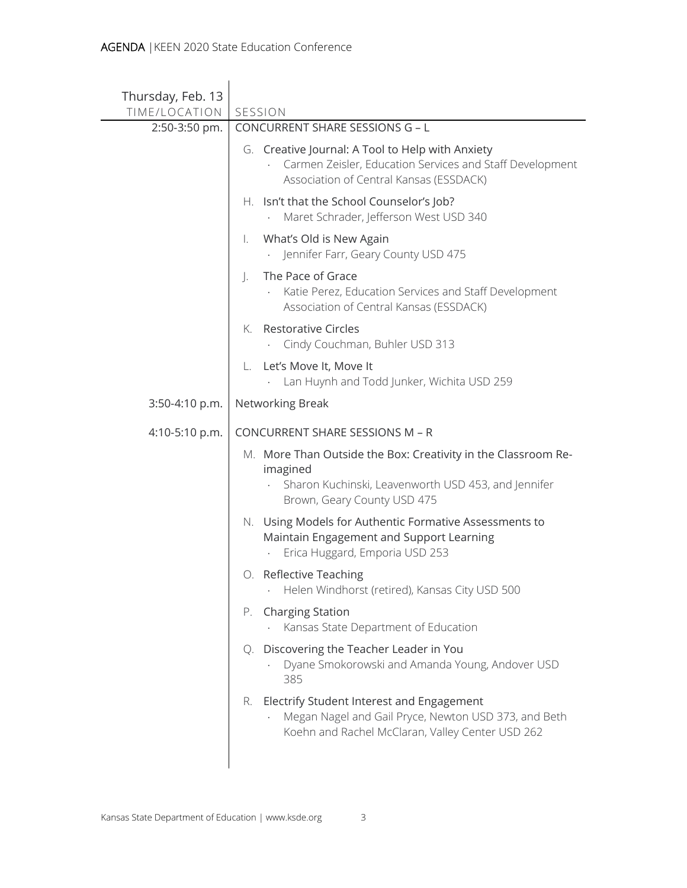| Thursday, Feb. 13              |                                                                                                                                                                 |
|--------------------------------|-----------------------------------------------------------------------------------------------------------------------------------------------------------------|
| TIME/LOCATION<br>2:50-3:50 pm. | SESSION<br>CONCURRENT SHARE SESSIONS G - L                                                                                                                      |
|                                | G. Creative Journal: A Tool to Help with Anxiety<br>Carmen Zeisler, Education Services and Staff Development<br>Association of Central Kansas (ESSDACK)         |
|                                | H. Isn't that the School Counselor's Job?<br>Maret Schrader, Jefferson West USD 340                                                                             |
|                                | What's Old is New Again<br>Ι.<br>Jennifer Farr, Geary County USD 475                                                                                            |
|                                | The Pace of Grace<br>$\cdot$<br>Katie Perez, Education Services and Staff Development<br>Association of Central Kansas (ESSDACK)                                |
|                                | <b>Restorative Circles</b><br>K.<br>Cindy Couchman, Buhler USD 313                                                                                              |
|                                | Let's Move It, Move It<br>L.<br>Lan Huynh and Todd Junker, Wichita USD 259                                                                                      |
| 3:50-4:10 p.m.                 | Networking Break                                                                                                                                                |
| 4:10-5:10 p.m.                 | <b>CONCURRENT SHARE SESSIONS M - R</b>                                                                                                                          |
|                                | M. More Than Outside the Box: Creativity in the Classroom Re-<br>imagined<br>Sharon Kuchinski, Leavenworth USD 453, and Jennifer<br>Brown, Geary County USD 475 |
|                                | N. Using Models for Authentic Formative Assessments to<br>Maintain Engagement and Support Learning<br>Erica Huggard, Emporia USD 253                            |
|                                | O. Reflective Teaching<br>Helen Windhorst (retired), Kansas City USD 500                                                                                        |
|                                | <b>Charging Station</b><br>P.<br>Kansas State Department of Education                                                                                           |
|                                | Q. Discovering the Teacher Leader in You<br>Dyane Smokorowski and Amanda Young, Andover USD<br>385                                                              |
|                                | R. Electrify Student Interest and Engagement<br>Megan Nagel and Gail Pryce, Newton USD 373, and Beth<br>Koehn and Rachel McClaran, Valley Center USD 262        |